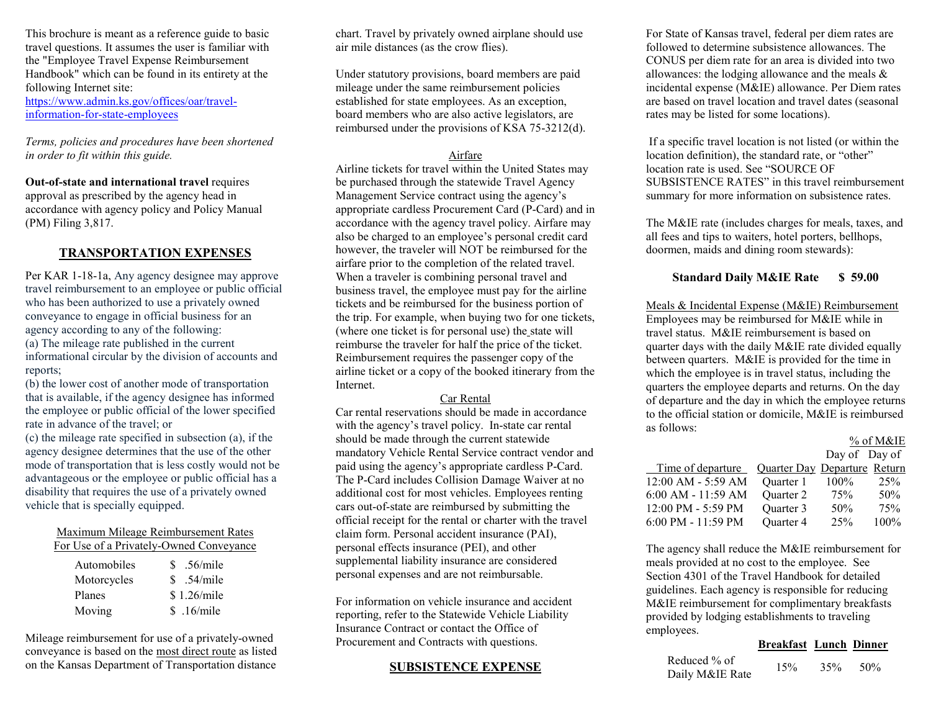This brochure is meant as a reference guide to basic travel questions. It assumes the user is familiar with the "Employee Travel Expense Reimbursement Handbook" which can be found in its entirety at the following Internet site: [https://www.admin.ks.gov/offices/oar/travel](https://www.admin.ks.gov/offices/oar/travel-information-for-state-employees)[information-for-state-employees](https://www.admin.ks.gov/offices/oar/travel-information-for-state-employees)

*Terms, policies and procedures have been shortened in order to fit within this guide.*

**Out-of-state and international travel** requires approval as prescribed by the agency head in accordance with agency policy and Policy Manual (PM) Filing 3,817.

#### **TRANSPORTATION EXPENSES**

Per KAR 1-18-1a, Any agency designee may approve travel reimbursement to an employee or public official who has been authorized to use a privately owned conveyance to engage in official business for an agency according to any of the following: (a) The mileage rate published in the current informational circular by the division of accounts and reports;

(b) the lower cost of another mode of transportation that is available, if the agency designee has informed the employee or public official of the lower specified rate in advance of the travel; or

(c) the mileage rate specified in subsection (a), if the agency designee determines that the use of the other mode of transportation that is less costly would not be advantageous or the employee or public official has a disability that requires the use of a privately owned vehicle that is specially equipped.

#### Maximum Mileage Reimbursement Rates For Use of a Privately-Owned Conveyance

| Automobiles | \$.56/mile  |
|-------------|-------------|
| Motorcycles | \$.54/mile  |
| Planes      | \$1.26/mile |
| Moving      | \$.16/mile  |

Mileage reimbursement for use of a privately-owned conveyance is based on the most direct route as listed on the Kansas Department of Transportation distance chart. Travel by privately owned airplane should use air mile distances (as the crow flies).

Under statutory provisions, board members are paid mileage under the same reimbursement policies established for state employees. As an exception, board members who are also active legislators, are reimbursed under the provisions of KSA 75-3212(d).

#### Airfare

Airline tickets for travel within the United States may be purchased through the statewide Travel Agency Management Service contract using the agency's appropriate cardless Procurement Card (P-Card) and in accordance with the agency travel policy. Airfare may also be charged to an employee's personal credit card however, the traveler will NOT be reimbursed for the airfare prior to the completion of the related travel. When a traveler is combining personal travel and business travel, the employee must pay for the airline tickets and be reimbursed for the business portion of the trip. For example, when buying two for one tickets, (where one ticket is for personal use) the state will reimburse the traveler for half the price of the ticket. Reimbursement requires the passenger copy of the airline ticket or a copy of the booked itinerary from the Internet.

#### Car Rental

Car rental reservations should be made in accordance with the agency's travel policy. In-state car rental should be made through the current statewide mandatory Vehicle Rental Service contract vendor and paid using the agency's appropriate cardless P-Card. The P-Card includes Collision Damage Waiver at no additional cost for most vehicles. Employees renting cars out-of-state are reimbursed by submitting the official receipt for the rental or charter with the travel claim form. Personal accident insurance (PAI), personal effects insurance (PEI), and other supplemental liability insurance are considered personal expenses and are not reimbursable.

For information on vehicle insurance and accident reporting, refer to the Statewide Vehicle Liability Insurance Contract or contact the Office of Procurement and Contracts with questions.

#### **SUBSISTENCE EXPENSE**

For State of Kansas travel, federal per diem rates are followed to determine subsistence allowances. The CONUS per diem rate for an area is divided into two allowances: the lodging allowance and the meals & incidental expense (M&IE) allowance. Per Diem rates are based on travel location and travel dates (seasonal rates may be listed for some locations).

If a specific travel location is not listed (or within the location definition), the standard rate, or "other" location rate is used. See "SOURCE OF SUBSISTENCE RATES" in this travel reimbursement summary for more information on subsistence rates.

The M&IE rate (includes charges for meals, taxes, and all fees and tips to waiters, hotel porters, bellhops, doormen, maids and dining room stewards):

### **Standard Daily M&IE Rate \$ 59.00**

Meals & Incidental Expense (M&IE) Reimbursement Employees may be reimbursed for M&IE while in travel status. M&IE reimbursement is based on quarter days with the daily M&IE rate divided equally between quarters. M&IE is provided for the time in which the employee is in travel status, including the quarters the employee departs and returns. On the day of departure and the day in which the employee returns to the official station or domicile, M&IE is reimbursed as follows: % of M&IE

|                    |                              |               | % of M&IE |
|--------------------|------------------------------|---------------|-----------|
|                    |                              | Day of Day of |           |
| Time of departure  | Quarter Day Departure Return |               |           |
| 12:00 AM - 5:59 AM | Ouarter 1                    | $100\%$       | 25%       |
| 6:00 AM - 11:59 AM | Ouarter 2                    | 75%           | 50%       |
| 12:00 PM - 5:59 PM | Quarter 3                    | 50%           | 75%       |
| 6:00 PM - 11:59 PM | Quarter 4                    | 25%           | 100%      |

The agency shall reduce the M&IE reimbursement for meals provided at no cost to the employee. See Section 4301 of the Travel Handbook for detailed guidelines. Each agency is responsible for reducing M&IE reimbursement for complimentary breakfasts provided by lodging establishments to traveling employees.

#### **Breakfast Lunch Dinner**

| Reduced % of    | 15% | 35% | 50% |
|-----------------|-----|-----|-----|
| Daily M&IE Rate |     |     |     |